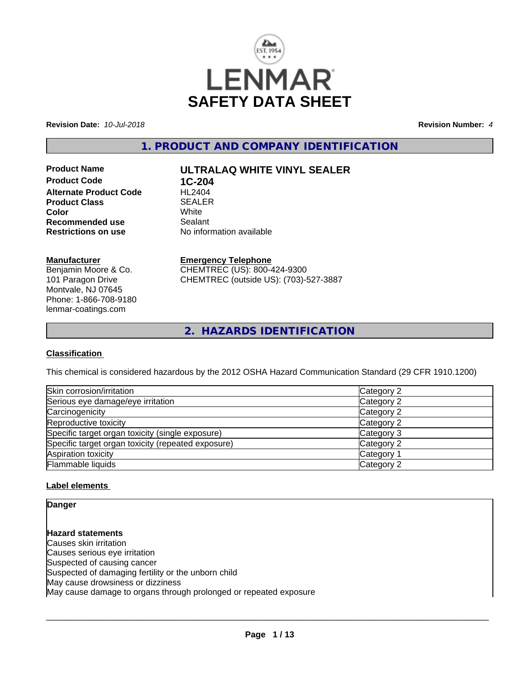

**Revision Date:** *10-Jul-2018* **Revision Number:** *4*

**1. PRODUCT AND COMPANY IDENTIFICATION**

**Product Code 1C-204**<br>**Alternate Product Code HL2404 Alternate Product Code Product Class** SEALER<br> **Color** White **Color** White White **Recommended use Sealant<br>
<b>Restrictions on use** 
No inform

# **Product Name ULTRALAQ WHITE VINYL SEALER**

**No information available** 

## **Manufacturer**

Benjamin Moore & Co. 101 Paragon Drive Montvale, NJ 07645 Phone: 1-866-708-9180 lenmar-coatings.com

# **Emergency Telephone**

CHEMTREC (US): 800-424-9300 CHEMTREC (outside US): (703)-527-3887

**2. HAZARDS IDENTIFICATION**

## **Classification**

This chemical is considered hazardous by the 2012 OSHA Hazard Communication Standard (29 CFR 1910.1200)

| Skin corrosion/irritation                          | Category 2            |
|----------------------------------------------------|-----------------------|
| Serious eye damage/eye irritation                  | Category 2            |
| Carcinogenicity                                    | Category 2            |
| Reproductive toxicity                              | Category 2            |
| Specific target organ toxicity (single exposure)   | Category 3            |
| Specific target organ toxicity (repeated exposure) | Category 2            |
| Aspiration toxicity                                | Category <sup>2</sup> |
| Flammable liquids                                  | Category 2            |

## **Label elements**

**Danger**

**Hazard statements** Causes skin irritation Causes serious eye irritation Suspected of causing cancer Suspected of damaging fertility or the unborn child May cause drowsiness or dizziness May cause damage to organs through prolonged or repeated exposure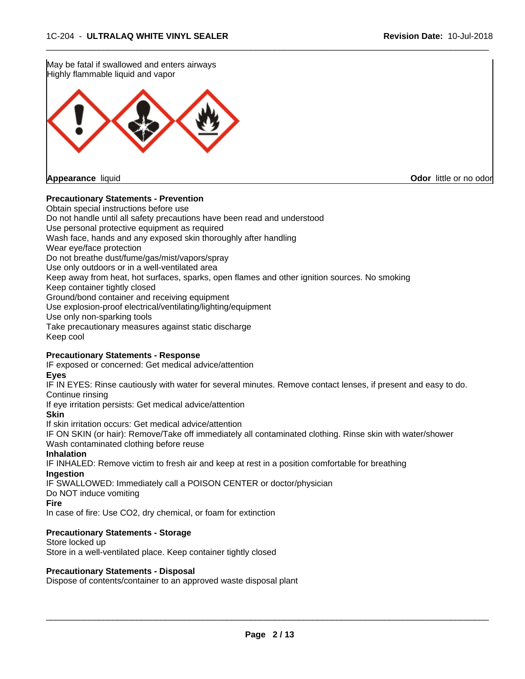

## **Precautionary Statements - Prevention**

Obtain special instructions before use Do not handle until all safety precautions have been read and understood Use personal protective equipment as required Wash face, hands and any exposed skin thoroughly after handling Wear eye/face protection Do not breathe dust/fume/gas/mist/vapors/spray Use only outdoors or in a well-ventilated area Keep away from heat, hot surfaces, sparks, open flames and other ignition sources. No smoking Keep container tightly closed Ground/bond container and receiving equipment Use explosion-proof electrical/ventilating/lighting/equipment Use only non-sparking tools Take precautionary measures against static discharge Keep cool

 $\overline{\phantom{a}}$  ,  $\overline{\phantom{a}}$  ,  $\overline{\phantom{a}}$  ,  $\overline{\phantom{a}}$  ,  $\overline{\phantom{a}}$  ,  $\overline{\phantom{a}}$  ,  $\overline{\phantom{a}}$  ,  $\overline{\phantom{a}}$  ,  $\overline{\phantom{a}}$  ,  $\overline{\phantom{a}}$  ,  $\overline{\phantom{a}}$  ,  $\overline{\phantom{a}}$  ,  $\overline{\phantom{a}}$  ,  $\overline{\phantom{a}}$  ,  $\overline{\phantom{a}}$  ,  $\overline{\phantom{a}}$ 

#### **Precautionary Statements - Response**

IF exposed or concerned: Get medical advice/attention

**Eyes**

IF IN EYES: Rinse cautiously with water for several minutes. Remove contact lenses, if present and easy to do. Continue rinsing

If eye irritation persists: Get medical advice/attention

**Skin**

If skin irritation occurs: Get medical advice/attention

IF ON SKIN (or hair): Remove/Take off immediately all contaminated clothing. Rinse skin with water/shower Wash contaminated clothing before reuse

#### **Inhalation**

IF INHALED: Remove victim to fresh air and keep at rest in a position comfortable for breathing **Ingestion**

IF SWALLOWED: Immediately call a POISON CENTER or doctor/physician

Do NOT induce vomiting

**Fire**

In case of fire: Use CO2, dry chemical, or foam for extinction

## **Precautionary Statements - Storage**

Store locked up Store in a well-ventilated place. Keep container tightly closed

#### **Precautionary Statements - Disposal**

Dispose of contents/container to an approved waste disposal plant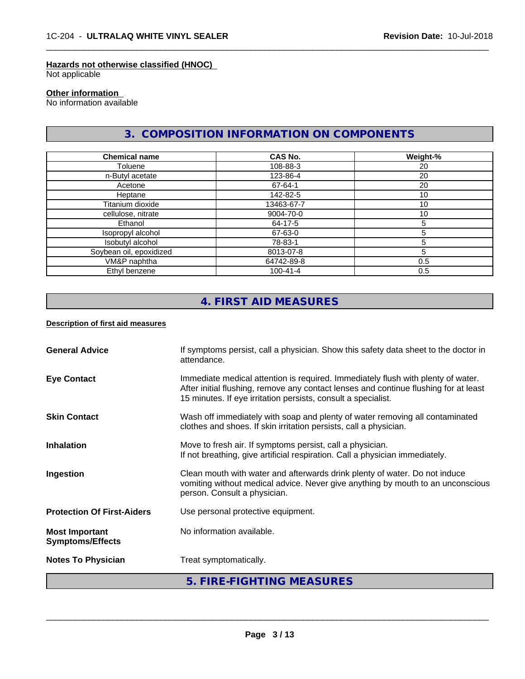## **Hazards not otherwise classified (HNOC)**

Not applicable

#### **Other information**

No information available

# **3. COMPOSITION INFORMATION ON COMPONENTS**

 $\overline{\phantom{a}}$  ,  $\overline{\phantom{a}}$  ,  $\overline{\phantom{a}}$  ,  $\overline{\phantom{a}}$  ,  $\overline{\phantom{a}}$  ,  $\overline{\phantom{a}}$  ,  $\overline{\phantom{a}}$  ,  $\overline{\phantom{a}}$  ,  $\overline{\phantom{a}}$  ,  $\overline{\phantom{a}}$  ,  $\overline{\phantom{a}}$  ,  $\overline{\phantom{a}}$  ,  $\overline{\phantom{a}}$  ,  $\overline{\phantom{a}}$  ,  $\overline{\phantom{a}}$  ,  $\overline{\phantom{a}}$ 

| <b>Chemical name</b>    | <b>CAS No.</b> | Weight-% |
|-------------------------|----------------|----------|
| Toluene                 | 108-88-3       | 20       |
| n-Butyl acetate         | 123-86-4       | 20       |
| Acetone                 | 67-64-1        | 20       |
| Heptane                 | 142-82-5       | 10       |
| Titanium dioxide        | 13463-67-7     | 10       |
| cellulose, nitrate      | 9004-70-0      | 10       |
| Ethanol                 | 64-17-5        | 5        |
| Isopropyl alcohol       | 67-63-0        | 5        |
| Isobutyl alcohol        | 78-83-1        |          |
| Soybean oil, epoxidized | 8013-07-8      | 5        |
| VM&P naphtha            | 64742-89-8     | 0.5      |
| Ethyl benzene           | $100 - 41 - 4$ | 0.5      |

# **4. FIRST AID MEASURES**

## **Description of first aid measures**

| <b>General Advice</b>                            | If symptoms persist, call a physician. Show this safety data sheet to the doctor in<br>attendance.                                                                                                                                        |
|--------------------------------------------------|-------------------------------------------------------------------------------------------------------------------------------------------------------------------------------------------------------------------------------------------|
| <b>Eye Contact</b>                               | Immediate medical attention is required. Immediately flush with plenty of water.<br>After initial flushing, remove any contact lenses and continue flushing for at least<br>15 minutes. If eye irritation persists, consult a specialist. |
| <b>Skin Contact</b>                              | Wash off immediately with soap and plenty of water removing all contaminated<br>clothes and shoes. If skin irritation persists, call a physician.                                                                                         |
| <b>Inhalation</b>                                | Move to fresh air. If symptoms persist, call a physician.<br>If not breathing, give artificial respiration. Call a physician immediately.                                                                                                 |
| Ingestion                                        | Clean mouth with water and afterwards drink plenty of water. Do not induce<br>vomiting without medical advice. Never give anything by mouth to an unconscious<br>person. Consult a physician.                                             |
| <b>Protection Of First-Aiders</b>                | Use personal protective equipment.                                                                                                                                                                                                        |
| <b>Most Important</b><br><b>Symptoms/Effects</b> | No information available.                                                                                                                                                                                                                 |
| <b>Notes To Physician</b>                        | Treat symptomatically.                                                                                                                                                                                                                    |
|                                                  | 5. FIRE-FIGHTING MEASURES                                                                                                                                                                                                                 |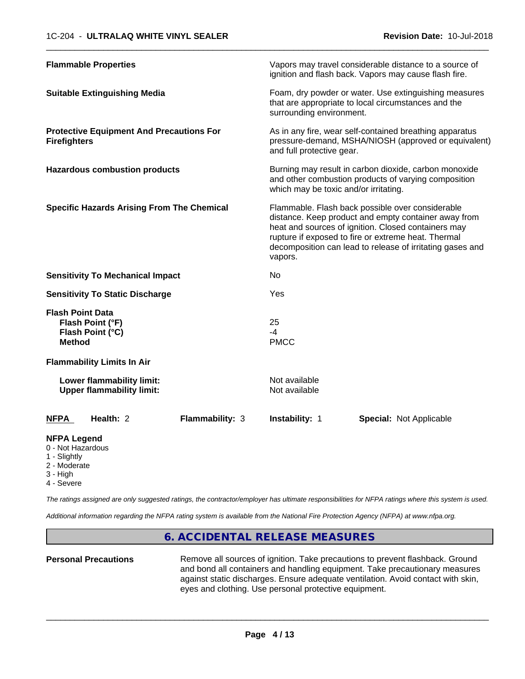| <b>Flammable Properties</b>                                                      | Vapors may travel considerable distance to a source of<br>ignition and flash back. Vapors may cause flash fire.                                                                                                                                                                                |  |
|----------------------------------------------------------------------------------|------------------------------------------------------------------------------------------------------------------------------------------------------------------------------------------------------------------------------------------------------------------------------------------------|--|
| <b>Suitable Extinguishing Media</b>                                              | Foam, dry powder or water. Use extinguishing measures<br>that are appropriate to local circumstances and the<br>surrounding environment.                                                                                                                                                       |  |
| <b>Protective Equipment And Precautions For</b><br><b>Firefighters</b>           | As in any fire, wear self-contained breathing apparatus<br>pressure-demand, MSHA/NIOSH (approved or equivalent)<br>and full protective gear.                                                                                                                                                   |  |
| <b>Hazardous combustion products</b>                                             | Burning may result in carbon dioxide, carbon monoxide<br>and other combustion products of varying composition<br>which may be toxic and/or irritating.                                                                                                                                         |  |
| <b>Specific Hazards Arising From The Chemical</b>                                | Flammable. Flash back possible over considerable<br>distance. Keep product and empty container away from<br>heat and sources of ignition. Closed containers may<br>rupture if exposed to fire or extreme heat. Thermal<br>decomposition can lead to release of irritating gases and<br>vapors. |  |
| <b>Sensitivity To Mechanical Impact</b>                                          | No                                                                                                                                                                                                                                                                                             |  |
| <b>Sensitivity To Static Discharge</b>                                           | Yes                                                                                                                                                                                                                                                                                            |  |
| <b>Flash Point Data</b><br>Flash Point (°F)<br>Flash Point (°C)<br><b>Method</b> | 25<br>$-4$<br><b>PMCC</b>                                                                                                                                                                                                                                                                      |  |
| <b>Flammability Limits In Air</b>                                                |                                                                                                                                                                                                                                                                                                |  |
| Lower flammability limit:<br><b>Upper flammability limit:</b>                    | Not available<br>Not available                                                                                                                                                                                                                                                                 |  |
| Health: 2<br>Flammability: 3<br><b>NFPA</b>                                      | Instability: 1<br><b>Special: Not Applicable</b>                                                                                                                                                                                                                                               |  |
| <b>NFPA Legend</b><br>0 - Not Hazardous<br>1 - Slightly                          |                                                                                                                                                                                                                                                                                                |  |

- 2 Moderate
- 3 High
- 4 Severe

*The ratings assigned are only suggested ratings, the contractor/employer has ultimate responsibilities for NFPA ratings where this system is used.*

*Additional information regarding the NFPA rating system is available from the National Fire Protection Agency (NFPA) at www.nfpa.org.*

## **6. ACCIDENTAL RELEASE MEASURES**

**Personal Precautions** Remove all sources of ignition. Take precautions to prevent flashback. Ground and bond all containers and handling equipment. Take precautionary measures against static discharges. Ensure adequate ventilation. Avoid contact with skin, eyes and clothing. Use personal protective equipment.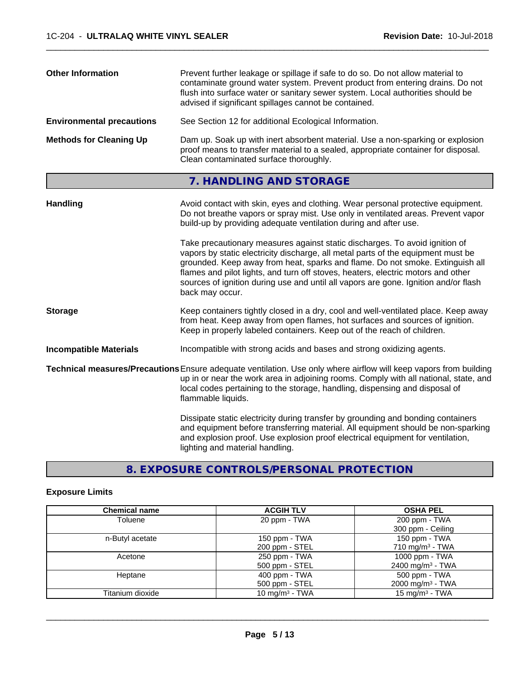| <b>Other Information</b>         | Prevent further leakage or spillage if safe to do so. Do not allow material to<br>contaminate ground water system. Prevent product from entering drains. Do not<br>flush into surface water or sanitary sewer system. Local authorities should be<br>advised if significant spillages cannot be contained. |
|----------------------------------|------------------------------------------------------------------------------------------------------------------------------------------------------------------------------------------------------------------------------------------------------------------------------------------------------------|
| <b>Environmental precautions</b> | See Section 12 for additional Ecological Information.                                                                                                                                                                                                                                                      |
| <b>Methods for Cleaning Up</b>   | Dam up. Soak up with inert absorbent material. Use a non-sparking or explosion<br>proof means to transfer material to a sealed, appropriate container for disposal.<br>Clean contaminated surface thoroughly.                                                                                              |

# **7. HANDLING AND STORAGE**

| Avoid contact with skin, eyes and clothing. Wear personal protective equipment.<br>Do not breathe vapors or spray mist. Use only in ventilated areas. Prevent vapor<br>build-up by providing adequate ventilation during and after use.                                                                                                                                                                                                        |
|------------------------------------------------------------------------------------------------------------------------------------------------------------------------------------------------------------------------------------------------------------------------------------------------------------------------------------------------------------------------------------------------------------------------------------------------|
| Take precautionary measures against static discharges. To avoid ignition of<br>vapors by static electricity discharge, all metal parts of the equipment must be<br>grounded. Keep away from heat, sparks and flame. Do not smoke. Extinguish all<br>flames and pilot lights, and turn off stoves, heaters, electric motors and other<br>sources of ignition during use and until all vapors are gone. Ignition and/or flash<br>back may occur. |
| Keep containers tightly closed in a dry, cool and well-ventilated place. Keep away<br>from heat. Keep away from open flames, hot surfaces and sources of ignition.<br>Keep in properly labeled containers. Keep out of the reach of children.                                                                                                                                                                                                  |
| Incompatible with strong acids and bases and strong oxidizing agents.                                                                                                                                                                                                                                                                                                                                                                          |
| Technical measures/Precautions Ensure adequate ventilation. Use only where airflow will keep vapors from building<br>up in or near the work area in adjoining rooms. Comply with all national, state, and<br>local codes pertaining to the storage, handling, dispensing and disposal of<br>flammable liquids.                                                                                                                                 |
| Dissipate static electricity during transfer by grounding and bonding containers<br>and equipment before transferring material. All equipment should be non-sparking<br>and explosion proof. Use explosion proof electrical equipment for ventilation,<br>lighting and material handling.                                                                                                                                                      |
|                                                                                                                                                                                                                                                                                                                                                                                                                                                |

# **8. EXPOSURE CONTROLS/PERSONAL PROTECTION**

# **Exposure Limits**

| <b>Chemical name</b> | <b>ACGIH TLV</b>  | <b>OSHA PEL</b>              |
|----------------------|-------------------|------------------------------|
| Toluene              | 20 ppm - TWA      | 200 ppm - TWA                |
|                      |                   | 300 ppm - Ceiling            |
| n-Butyl acetate      | 150 ppm - TWA     | 150 ppm - TWA                |
|                      | 200 ppm - STEL    | $710 \text{ mg/m}^3$ - TWA   |
| Acetone              | 250 ppm - TWA     | 1000 ppm - TWA               |
|                      | 500 ppm - STEL    | 2400 mg/m <sup>3</sup> - TWA |
| Heptane              | $400$ ppm $-$ TWA | 500 ppm - TWA                |
|                      | 500 ppm - STEL    | 2000 mg/m $3$ - TWA          |
| Titanium dioxide     | 10 mg/m $3$ - TWA | $15 \text{ mg/m}^3$ - TWA    |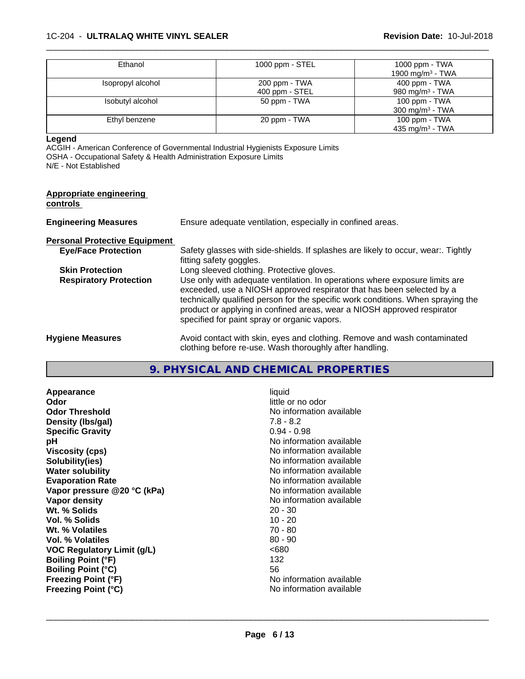#### 1C-204 - **ULTRALAQ WHITE VINYL SEALER Revision Date:** 10-Jul-2018

| Ethanol           | 1000 ppm - STEL | 1000 ppm - $TWA$             |
|-------------------|-----------------|------------------------------|
|                   |                 | 1900 mg/m <sup>3</sup> - TWA |
| Isopropyl alcohol | 200 ppm - TWA   | $400$ ppm - TWA              |
|                   | 400 ppm - STEL  | 980 mg/m $3$ - TWA           |
| Isobutyl alcohol  | 50 ppm - TWA    | 100 ppm - TWA                |
|                   |                 | 300 mg/m <sup>3</sup> - TWA  |
| Ethyl benzene     | 20 ppm - TWA    | 100 ppm $-$ TWA              |
|                   |                 | 435 mg/m <sup>3</sup> - TWA  |

 $\overline{\phantom{a}}$  ,  $\overline{\phantom{a}}$  ,  $\overline{\phantom{a}}$  ,  $\overline{\phantom{a}}$  ,  $\overline{\phantom{a}}$  ,  $\overline{\phantom{a}}$  ,  $\overline{\phantom{a}}$  ,  $\overline{\phantom{a}}$  ,  $\overline{\phantom{a}}$  ,  $\overline{\phantom{a}}$  ,  $\overline{\phantom{a}}$  ,  $\overline{\phantom{a}}$  ,  $\overline{\phantom{a}}$  ,  $\overline{\phantom{a}}$  ,  $\overline{\phantom{a}}$  ,  $\overline{\phantom{a}}$ 

**Legend**

ACGIH - American Conference of Governmental Industrial Hygienists Exposure Limits OSHA - Occupational Safety & Health Administration Exposure Limits N/E - Not Established

| Appropriate engineering<br>controls  |                                                                                                                                                                                                                                                                                                                                                                     |
|--------------------------------------|---------------------------------------------------------------------------------------------------------------------------------------------------------------------------------------------------------------------------------------------------------------------------------------------------------------------------------------------------------------------|
| <b>Engineering Measures</b>          | Ensure adequate ventilation, especially in confined areas.                                                                                                                                                                                                                                                                                                          |
| <b>Personal Protective Equipment</b> |                                                                                                                                                                                                                                                                                                                                                                     |
| <b>Eye/Face Protection</b>           | Safety glasses with side-shields. If splashes are likely to occur, wear Tightly<br>fitting safety goggles.                                                                                                                                                                                                                                                          |
| <b>Skin Protection</b>               | Long sleeved clothing. Protective gloves.                                                                                                                                                                                                                                                                                                                           |
| <b>Respiratory Protection</b>        | Use only with adequate ventilation. In operations where exposure limits are<br>exceeded, use a NIOSH approved respirator that has been selected by a<br>technically qualified person for the specific work conditions. When spraying the<br>product or applying in confined areas, wear a NIOSH approved respirator<br>specified for paint spray or organic vapors. |
| <b>Hygiene Measures</b>              | Avoid contact with skin, eyes and clothing. Remove and wash contaminated<br>clothing before re-use. Wash thoroughly after handling.                                                                                                                                                                                                                                 |

# **9. PHYSICAL AND CHEMICAL PROPERTIES**

**Appearance** liquid **Odor Odor** little or no odor<br> **Odor Threshold Containery Containery Containery Containery Containery Property** No information **Density (lbs/gal)** 7.8 - 8.2<br> **Specific Gravity** 6.1 (1988) 7.8 - 8.2 **Specific Gravity pH** No information available **Viscosity (cps)** No information available **Solubility(ies)** No information available **Water solubility**<br> **Evaporation Rate**<br> **Evaporation Rate**<br> **Evaporation Rate Vapor** pressure @20 °C (kPa) **Vapor density**<br> **We Solids**<br>
We Solids
20 - 30 **Wt. % Solids** 20 - 30<br> **Vol. % Solids** 20 - 30 **Vol. % Solids Wt. % Volatiles** 70 - 80 **Vol. % Volatiles VOC Regulatory Limit (g/L)** <680 **Boiling Point (°F)** 132 **Boiling Point (°C)** 56 **Freezing Point (°F)**<br> **Freezing Point (°C)**<br> **Freezing Point (°C)**<br> **No** information available **Freezing Point (°C)** 

**No information available** No information available<br>No information available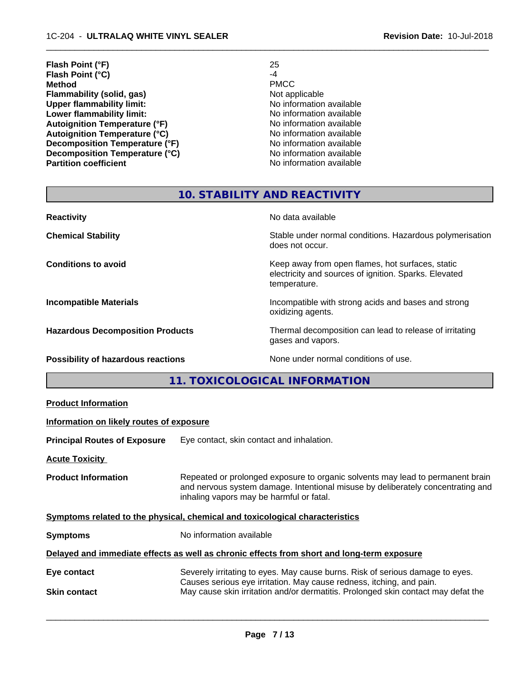| Flash Point (°F)                     | 25                       |
|--------------------------------------|--------------------------|
| Flash Point (°C)                     | -4                       |
| <b>Method</b>                        | <b>PMCC</b>              |
| Flammability (solid, gas)            | Not applicable           |
| <b>Upper flammability limit:</b>     | No information available |
| Lower flammability limit:            | No information available |
| <b>Autoignition Temperature (°F)</b> | No information available |
| <b>Autoignition Temperature (°C)</b> | No information available |
| Decomposition Temperature (°F)       | No information available |
| Decomposition Temperature (°C)       | No information available |
| <b>Partition coefficient</b>         | No information available |

 $\overline{\phantom{a}}$  ,  $\overline{\phantom{a}}$  ,  $\overline{\phantom{a}}$  ,  $\overline{\phantom{a}}$  ,  $\overline{\phantom{a}}$  ,  $\overline{\phantom{a}}$  ,  $\overline{\phantom{a}}$  ,  $\overline{\phantom{a}}$  ,  $\overline{\phantom{a}}$  ,  $\overline{\phantom{a}}$  ,  $\overline{\phantom{a}}$  ,  $\overline{\phantom{a}}$  ,  $\overline{\phantom{a}}$  ,  $\overline{\phantom{a}}$  ,  $\overline{\phantom{a}}$  ,  $\overline{\phantom{a}}$ 

# **10. STABILITY AND REACTIVITY**

| <b>Reactivity</b>                         | No data available                                                                                                         |
|-------------------------------------------|---------------------------------------------------------------------------------------------------------------------------|
| <b>Chemical Stability</b>                 | Stable under normal conditions. Hazardous polymerisation<br>does not occur.                                               |
| <b>Conditions to avoid</b>                | Keep away from open flames, hot surfaces, static<br>electricity and sources of ignition. Sparks. Elevated<br>temperature. |
| <b>Incompatible Materials</b>             | Incompatible with strong acids and bases and strong<br>oxidizing agents.                                                  |
| <b>Hazardous Decomposition Products</b>   | Thermal decomposition can lead to release of irritating<br>gases and vapors.                                              |
| <b>Possibility of hazardous reactions</b> | None under normal conditions of use.                                                                                      |

**11. TOXICOLOGICAL INFORMATION**

| <b>Product Information</b>               |                                                                                                                                                                                                               |  |
|------------------------------------------|---------------------------------------------------------------------------------------------------------------------------------------------------------------------------------------------------------------|--|
| Information on likely routes of exposure |                                                                                                                                                                                                               |  |
| <b>Principal Routes of Exposure</b>      | Eye contact, skin contact and inhalation.                                                                                                                                                                     |  |
| <b>Acute Toxicity</b>                    |                                                                                                                                                                                                               |  |
| <b>Product Information</b>               | Repeated or prolonged exposure to organic solvents may lead to permanent brain<br>and nervous system damage. Intentional misuse by deliberately concentrating and<br>inhaling vapors may be harmful or fatal. |  |
|                                          | Symptoms related to the physical, chemical and toxicological characteristics                                                                                                                                  |  |
| <b>Symptoms</b>                          | No information available                                                                                                                                                                                      |  |
|                                          | Delayed and immediate effects as well as chronic effects from short and long-term exposure                                                                                                                    |  |
| Eye contact                              | Severely irritating to eyes. May cause burns. Risk of serious damage to eyes.<br>Causes serious eye irritation. May cause redness, itching, and pain.                                                         |  |
| <b>Skin contact</b>                      | May cause skin irritation and/or dermatitis. Prolonged skin contact may defat the                                                                                                                             |  |
|                                          |                                                                                                                                                                                                               |  |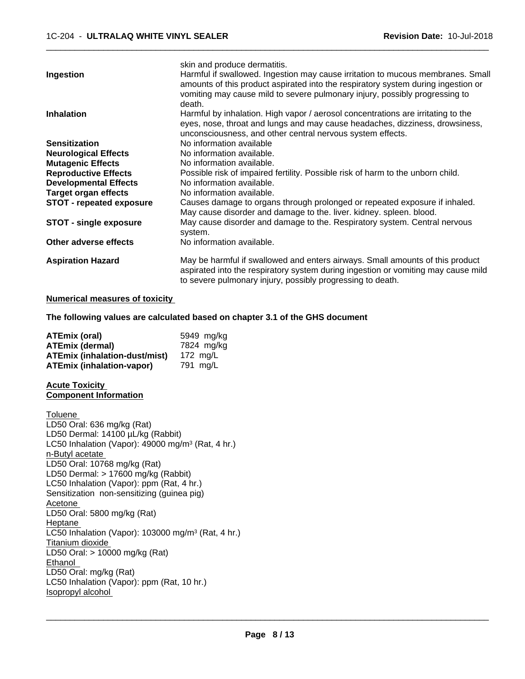|                                 | skin and produce dermatitis.                                                                                                                                                                                                                                  |
|---------------------------------|---------------------------------------------------------------------------------------------------------------------------------------------------------------------------------------------------------------------------------------------------------------|
| Ingestion                       | Harmful if swallowed. Ingestion may cause irritation to mucous membranes. Small<br>amounts of this product aspirated into the respiratory system during ingestion or<br>vomiting may cause mild to severe pulmonary injury, possibly progressing to<br>death. |
| <b>Inhalation</b>               | Harmful by inhalation. High vapor / aerosol concentrations are irritating to the<br>eyes, nose, throat and lungs and may cause headaches, dizziness, drowsiness,<br>unconsciousness, and other central nervous system effects.                                |
| <b>Sensitization</b>            | No information available                                                                                                                                                                                                                                      |
| <b>Neurological Effects</b>     | No information available.                                                                                                                                                                                                                                     |
| <b>Mutagenic Effects</b>        | No information available.                                                                                                                                                                                                                                     |
| <b>Reproductive Effects</b>     | Possible risk of impaired fertility. Possible risk of harm to the unborn child.                                                                                                                                                                               |
| <b>Developmental Effects</b>    | No information available.                                                                                                                                                                                                                                     |
| <b>Target organ effects</b>     | No information available.                                                                                                                                                                                                                                     |
| <b>STOT - repeated exposure</b> | Causes damage to organs through prolonged or repeated exposure if inhaled.<br>May cause disorder and damage to the. liver. kidney. spleen. blood.                                                                                                             |
| <b>STOT - single exposure</b>   | May cause disorder and damage to the. Respiratory system. Central nervous<br>system.                                                                                                                                                                          |
| Other adverse effects           | No information available.                                                                                                                                                                                                                                     |
| <b>Aspiration Hazard</b>        | May be harmful if swallowed and enters airways. Small amounts of this product<br>aspirated into the respiratory system during ingestion or vomiting may cause mild<br>to severe pulmonary injury, possibly progressing to death.                              |

#### **Numerical measures of toxicity**

**The following values are calculated based on chapter 3.1 of the GHS document**

| <b>ATEmix (oral)</b>                 | 5949 mg/ka |
|--------------------------------------|------------|
| <b>ATEmix (dermal)</b>               | 7824 mg/kg |
| <b>ATEmix (inhalation-dust/mist)</b> | 172 ma/L   |
| <b>ATEmix (inhalation-vapor)</b>     | 791 ma/L   |

#### **Acute Toxicity Component Information**

Toluene LD50 Oral: 636 mg/kg (Rat) LD50 Dermal: 14100 µL/kg (Rabbit) LC50 Inhalation (Vapor): 49000 mg/m<sup>3</sup> (Rat, 4 hr.) n-Butyl acetate LD50 Oral: 10768 mg/kg (Rat) LD50 Dermal: > 17600 mg/kg (Rabbit) LC50 Inhalation (Vapor): ppm (Rat, 4 hr.) Sensitization non-sensitizing (guinea pig) Acetone LD50 Oral: 5800 mg/kg (Rat) Heptane LC50 Inhalation (Vapor): 103000 mg/m<sup>3</sup> (Rat, 4 hr.) Titanium dioxide LD50 Oral: > 10000 mg/kg (Rat) Ethanol LD50 Oral: mg/kg (Rat) LC50 Inhalation (Vapor): ppm (Rat, 10 hr.) Isopropyl alcohol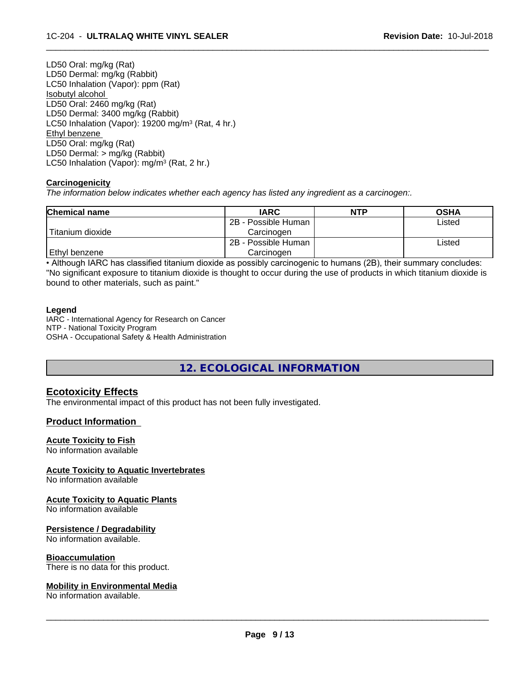LD50 Oral: mg/kg (Rat) LD50 Dermal: mg/kg (Rabbit) LC50 Inhalation (Vapor): ppm (Rat) Isobutyl alcohol LD50 Oral: 2460 mg/kg (Rat) LD50 Dermal: 3400 mg/kg (Rabbit) LC50 Inhalation (Vapor): 19200 mg/m<sup>3</sup> (Rat, 4 hr.) Ethyl benzene LD50 Oral: mg/kg (Rat) LD50 Dermal: > mg/kg (Rabbit) LC50 Inhalation (Vapor): mg/m<sup>3</sup> (Rat, 2 hr.)

#### **Carcinogenicity**

*The information below indicateswhether each agency has listed any ingredient as a carcinogen:.*

| <b>Chemical name</b> | <b>IARC</b>         | <b>NTP</b> | <b>OSHA</b> |
|----------------------|---------------------|------------|-------------|
|                      | 2B - Possible Human |            | Listed      |
| Titanium dioxide     | Carcinoɑen          |            |             |
|                      | 2B - Possible Human |            | Listed      |
| Ethyl benzene        | Carcinogen          |            |             |

 $\overline{\phantom{a}}$  ,  $\overline{\phantom{a}}$  ,  $\overline{\phantom{a}}$  ,  $\overline{\phantom{a}}$  ,  $\overline{\phantom{a}}$  ,  $\overline{\phantom{a}}$  ,  $\overline{\phantom{a}}$  ,  $\overline{\phantom{a}}$  ,  $\overline{\phantom{a}}$  ,  $\overline{\phantom{a}}$  ,  $\overline{\phantom{a}}$  ,  $\overline{\phantom{a}}$  ,  $\overline{\phantom{a}}$  ,  $\overline{\phantom{a}}$  ,  $\overline{\phantom{a}}$  ,  $\overline{\phantom{a}}$ 

• Although IARC has classified titanium dioxide as possibly carcinogenic to humans (2B), their summary concludes: "No significant exposure to titanium dioxide is thought to occur during the use of products in which titanium dioxide is bound to other materials, such as paint."

#### **Legend**

IARC - International Agency for Research on Cancer NTP - National Toxicity Program OSHA - Occupational Safety & Health Administration

**12. ECOLOGICAL INFORMATION**

## **Ecotoxicity Effects**

The environmental impact of this product has not been fully investigated.

## **Product Information**

#### **Acute Toxicity to Fish**

No information available

#### **Acute Toxicity to Aquatic Invertebrates**

No information available

#### **Acute Toxicity to Aquatic Plants**

No information available

#### **Persistence / Degradability**

No information available.

#### **Bioaccumulation**

There is no data for this product.

#### **Mobility in Environmental Media**

No information available.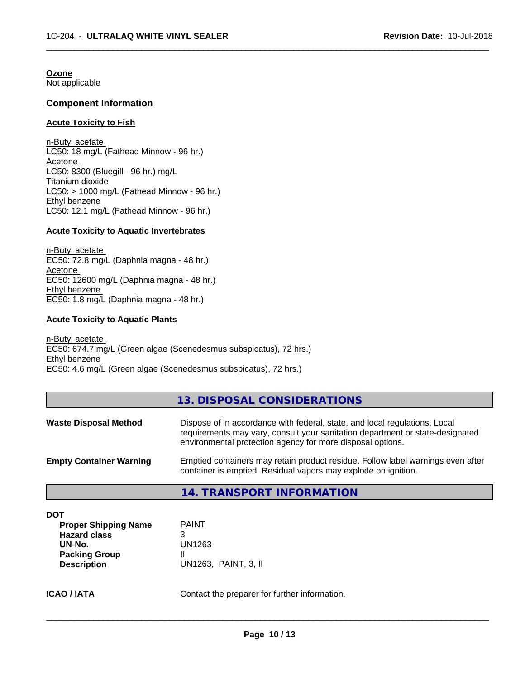**Ozone** Not applicable

## **Component Information**

#### **Acute Toxicity to Fish**

n-Butyl acetate LC50: 18 mg/L (Fathead Minnow - 96 hr.) Acetone LC50: 8300 (Bluegill - 96 hr.) mg/L Titanium dioxide  $LC50:$  > 1000 mg/L (Fathead Minnow - 96 hr.) Ethyl benzene LC50: 12.1 mg/L (Fathead Minnow - 96 hr.)

#### **Acute Toxicity to Aquatic Invertebrates**

n-Butyl acetate EC50: 72.8 mg/L (Daphnia magna - 48 hr.) Acetone EC50: 12600 mg/L (Daphnia magna - 48 hr.) Ethyl benzene EC50: 1.8 mg/L (Daphnia magna - 48 hr.)

#### **Acute Toxicity to Aquatic Plants**

n-Butyl acetate EC50: 674.7 mg/L (Green algae (Scenedesmus subspicatus), 72 hrs.) Ethyl benzene EC50: 4.6 mg/L (Green algae (Scenedesmus subspicatus), 72 hrs.)

## **13. DISPOSAL CONSIDERATIONS**

 $\overline{\phantom{a}}$  ,  $\overline{\phantom{a}}$  ,  $\overline{\phantom{a}}$  ,  $\overline{\phantom{a}}$  ,  $\overline{\phantom{a}}$  ,  $\overline{\phantom{a}}$  ,  $\overline{\phantom{a}}$  ,  $\overline{\phantom{a}}$  ,  $\overline{\phantom{a}}$  ,  $\overline{\phantom{a}}$  ,  $\overline{\phantom{a}}$  ,  $\overline{\phantom{a}}$  ,  $\overline{\phantom{a}}$  ,  $\overline{\phantom{a}}$  ,  $\overline{\phantom{a}}$  ,  $\overline{\phantom{a}}$ 

| <b>Waste Disposal Method</b>   | Dispose of in accordance with federal, state, and local regulations. Local<br>requirements may vary, consult your sanitation department or state-designated<br>environmental protection agency for more disposal options. |
|--------------------------------|---------------------------------------------------------------------------------------------------------------------------------------------------------------------------------------------------------------------------|
| <b>Empty Container Warning</b> | Emptied containers may retain product residue. Follow label warnings even after<br>container is emptied. Residual vapors may explode on ignition.                                                                         |

#### **14. TRANSPORT INFORMATION**

| <b>Proper Shipping Name</b> | <b>PAINT</b>         |
|-----------------------------|----------------------|
| <b>Hazard class</b>         | 3                    |
| UN-No.                      | UN1263               |
| <b>Packing Group</b>        |                      |
| <b>Description</b>          | UN1263, PAINT, 3, II |

# **ICAO / IATA** Contact the preparer for further information.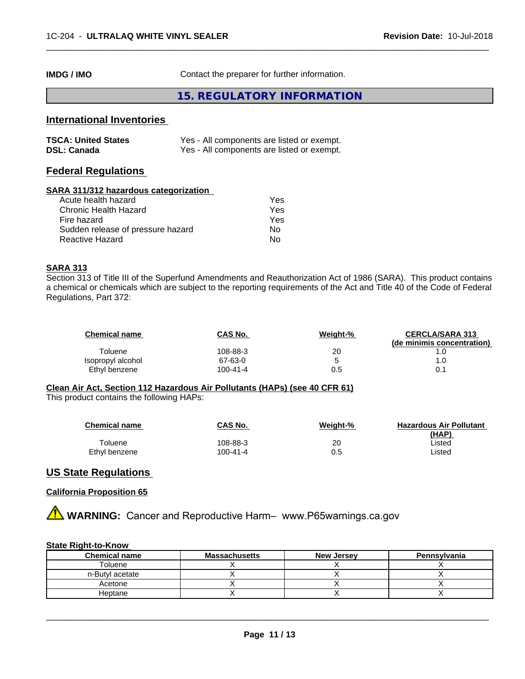**IMDG / IMO** Contact the preparer for further information.

## **15. REGULATORY INFORMATION**

 $\overline{\phantom{a}}$  ,  $\overline{\phantom{a}}$  ,  $\overline{\phantom{a}}$  ,  $\overline{\phantom{a}}$  ,  $\overline{\phantom{a}}$  ,  $\overline{\phantom{a}}$  ,  $\overline{\phantom{a}}$  ,  $\overline{\phantom{a}}$  ,  $\overline{\phantom{a}}$  ,  $\overline{\phantom{a}}$  ,  $\overline{\phantom{a}}$  ,  $\overline{\phantom{a}}$  ,  $\overline{\phantom{a}}$  ,  $\overline{\phantom{a}}$  ,  $\overline{\phantom{a}}$  ,  $\overline{\phantom{a}}$ 

# **International Inventories**

| <b>TSCA: United States</b> | Yes - All components are listed or exempt. |
|----------------------------|--------------------------------------------|
| <b>DSL: Canada</b>         | Yes - All components are listed or exempt. |

# **Federal Regulations**

#### **SARA 311/312 hazardous categorization**

| Yes |
|-----|
| Yes |
| Yes |
| Nο  |
| N٥  |
|     |

## **SARA 313**

Section 313 of Title III of the Superfund Amendments and Reauthorization Act of 1986 (SARA). This product contains a chemical or chemicals which are subject to the reporting requirements of the Act and Title 40 of the Code of Federal Regulations, Part 372:

| <b>Chemical name</b> | CAS No.  | Weight-% | <b>CERCLA/SARA 313</b><br>(de minimis concentration) |
|----------------------|----------|----------|------------------------------------------------------|
| Toluene              | 108-88-3 | 20       |                                                      |
| Isopropyl alcohol    | 67-63-0  |          |                                                      |
| Ethyl benzene        | 100-41-4 | 0.5      |                                                      |

#### **Clean Air Act,Section 112 Hazardous Air Pollutants (HAPs) (see 40 CFR 61)**

This product contains the following HAPs:

| <b>Chemical name</b> | <b>CAS No.</b> | Weight-% | <b>Hazardous Air Pollutant</b><br>(HAP) |
|----------------------|----------------|----------|-----------------------------------------|
| Toluene              | 108-88-3       | 20       | ∟isted                                  |
| Ethyl benzene        | $100 - 41 - 4$ | 0.5      | ∟isted                                  |

## **US State Regulations**

#### **California Proposition 65**

**AVIMARNING:** Cancer and Reproductive Harm– www.P65warnings.ca.gov

#### **State Right-to-Know**

| <b>Chemical name</b> | <b>Massachusetts</b> | <b>New Jersey</b> | Pennsylvania |
|----------------------|----------------------|-------------------|--------------|
| Foluene              |                      |                   |              |
| n-Butyl acetate      |                      |                   |              |
| Acetone              |                      |                   |              |
| Heptane              |                      |                   |              |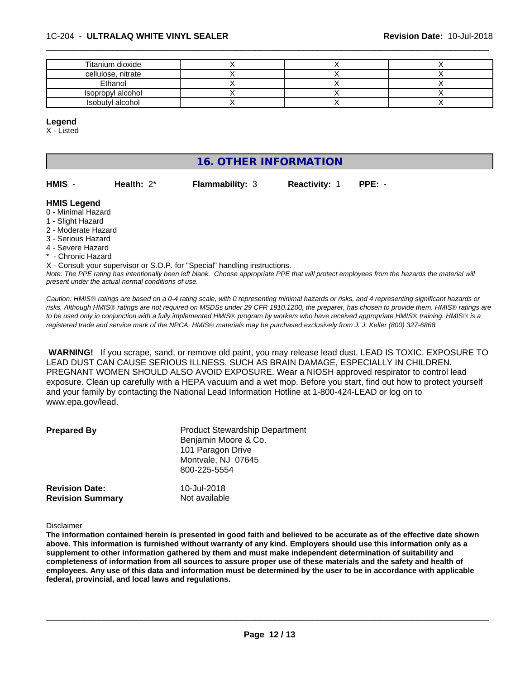| Titanium dioxide   |  |  |
|--------------------|--|--|
| cellulose, nitrate |  |  |
| Ethanol            |  |  |
| Isopropyl alcohol  |  |  |
| Isobutyl alcohol   |  |  |

#### **Legend**

X - Listed

# **16. OTHER INFORMATION**

| HMIS - | Health: $2^*$ | <b>Flammability: 3</b> | <b>Reactivity: 1</b> | $PPE: -$ |
|--------|---------------|------------------------|----------------------|----------|

#### **HMIS Legend**

- 0 Minimal Hazard
- 1 Slight Hazard
- 2 Moderate Hazard
- 3 Serious Hazard
- 4 Severe Hazard
- \* Chronic Hazard

X - Consult your supervisor or S.O.P. for "Special" handling instructions.

*Note: The PPE rating has intentionally been left blank. Choose appropriate PPE that will protect employees from the hazards the material will present under the actual normal conditions of use.*

*Caution: HMISÒ ratings are based on a 0-4 rating scale, with 0 representing minimal hazards or risks, and 4 representing significant hazards or risks. Although HMISÒ ratings are not required on MSDSs under 29 CFR 1910.1200, the preparer, has chosen to provide them. HMISÒ ratings are to be used only in conjunction with a fully implemented HMISÒ program by workers who have received appropriate HMISÒ training. HMISÒ is a registered trade and service mark of the NPCA. HMISÒ materials may be purchased exclusively from J. J. Keller (800) 327-6868.*

 **WARNING!** If you scrape, sand, or remove old paint, you may release lead dust. LEAD IS TOXIC. EXPOSURE TO LEAD DUST CAN CAUSE SERIOUS ILLNESS, SUCH AS BRAIN DAMAGE, ESPECIALLY IN CHILDREN. PREGNANT WOMEN SHOULD ALSO AVOID EXPOSURE. Wear a NIOSH approved respirator to control lead exposure. Clean up carefully with a HEPA vacuum and a wet mop. Before you start, find out how to protect yourself and your family by contacting the National Lead Information Hotline at 1-800-424-LEAD or log on to www.epa.gov/lead.

| <b>Prepared By</b>      | <b>Product Stewardship Department</b><br>Benjamin Moore & Co.<br>101 Paragon Drive<br>Montvale, NJ 07645<br>800-225-5554 |
|-------------------------|--------------------------------------------------------------------------------------------------------------------------|
| <b>Revision Date:</b>   | 10-Jul-2018                                                                                                              |
| <b>Revision Summary</b> | Not available                                                                                                            |

#### Disclaimer

The information contained herein is presented in good faith and believed to be accurate as of the effective date shown above. This information is furnished without warranty of any kind. Employers should use this information only as a **supplement to other information gathered by them and must make independent determination of suitability and** completeness of information from all sources to assure proper use of these materials and the safety and health of employees. Any use of this data and information must be determined by the user to be in accordance with applicable **federal, provincial, and local laws and regulations.**